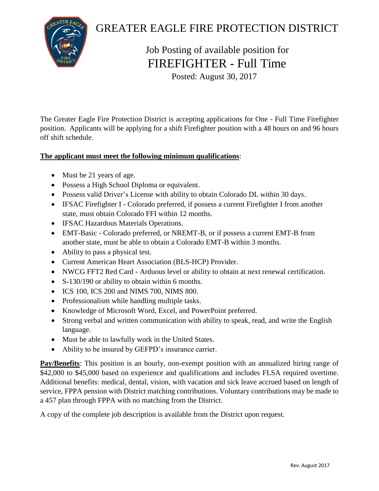

## GREATER EAGLE FIRE PROTECTION DISTRICT

## Job Posting of available position for FIREFIGHTER - Full Time

Posted: August 30, 2017

The Greater Eagle Fire Protection District is accepting applications for One - Full Time Firefighter position. Applicants will be applying for a shift Firefighter position with a 48 hours on and 96 hours off shift schedule.

## **The applicant must meet the following minimum qualifications**:

- Must be 21 years of age.
- Possess a High School Diploma or equivalent.
- Possess valid Driver's License with ability to obtain Colorado DL within 30 days.
- IFSAC Firefighter I Colorado preferred, if possess a current Firefighter I from another state, must obtain Colorado FFI within 12 months.
- IFSAC Hazardous Materials Operations.
- EMT-Basic Colorado preferred, or NREMT-B, or if possess a current EMT-B from another state, must be able to obtain a Colorado EMT-B within 3 months.
- Ability to pass a physical test.
- Current American Heart Association (BLS-HCP) Provider.
- NWCG FFT2 Red Card Arduous level or ability to obtain at next renewal certification.
- S-130/190 or ability to obtain within 6 months.
- ICS 100, ICS 200 and NIMS 700, NIMS 800.
- Professionalism while handling multiple tasks.
- Knowledge of Microsoft Word, Excel, and PowerPoint preferred.
- Strong verbal and written communication with ability to speak, read, and write the English language.
- Must be able to lawfully work in the United States.
- Ability to be insured by GEFPD's insurance carrier.

**Pay/Benefits**: This position is an hourly, non-exempt position with an annualized hiring range of \$42,000 to \$45,000 based on experience and qualifications and includes FLSA required overtime. Additional benefits: medical, dental, vision, with vacation and sick leave accrued based on length of service, FPPA pension with District matching contributions. Voluntary contributions may be made to a 457 plan through FPPA with no matching from the District.

A copy of the complete job description is available from the District upon request.